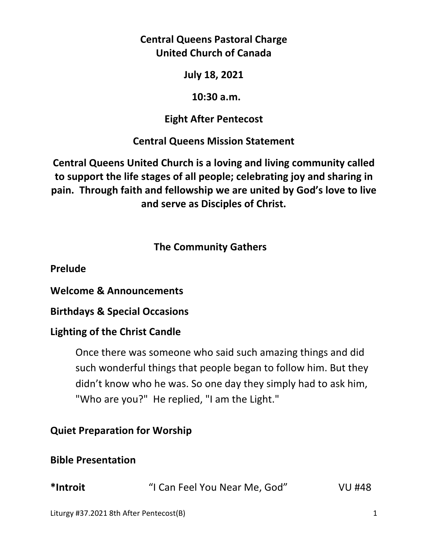## **Central Queens Pastoral Charge United Church of Canada**

**July 18, 2021** 

## **10:30 a.m.**

# **Eight After Pentecost**

# **Central Queens Mission Statement**

**Central Queens United Church is a loving and living community called to support the life stages of all people; celebrating joy and sharing in pain. Through faith and fellowship we are united by God's love to live and serve as Disciples of Christ.**

# **The Community Gathers**

**Prelude** 

**Welcome & Announcements** 

**Birthdays & Special Occasions** 

## **Lighting of the Christ Candle**

Once there was someone who said such amazing things and did such wonderful things that people began to follow him. But they didn't know who he was. So one day they simply had to ask him, "Who are you?" He replied, "I am the Light."

## **Quiet Preparation for Worship**

## **Bible Presentation**

| *Introit | "I Can Feel You Near Me, God" | <b>VU #48</b> |
|----------|-------------------------------|---------------|
|          |                               |               |

Liturgy #37.2021 8th After Pentecost(B) 1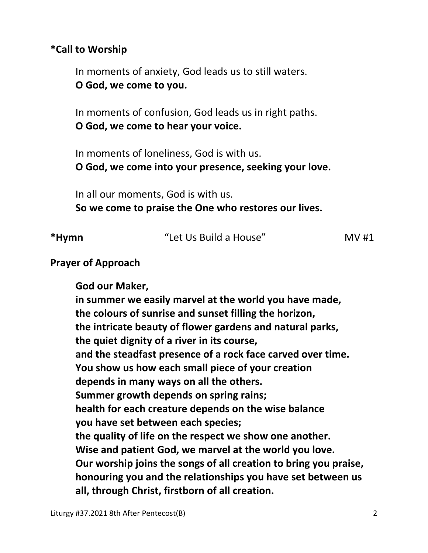## **\*Call to Worship**

In moments of anxiety, God leads us to still waters.  **O God, we come to you.** 

 In moments of confusion, God leads us in right paths.  **O God, we come to hear your voice.** 

 In moments of loneliness, God is with us.  **O God, we come into your presence, seeking your love.** 

 In all our moments, God is with us.  **So we come to praise the One who restores our lives.** 

| *Hymn | "Let Us Build a House" | MV#1 |
|-------|------------------------|------|
|       |                        |      |

### **Prayer of Approach**

 **God our Maker, in summer we easily marvel at the world you have made, the colours of sunrise and sunset filling the horizon, the intricate beauty of flower gardens and natural parks, the quiet dignity of a river in its course, and the steadfast presence of a rock face carved over time. You show us how each small piece of your creation depends in many ways on all the others. Summer growth depends on spring rains; health for each creature depends on the wise balance you have set between each species; the quality of life on the respect we show one another. Wise and patient God, we marvel at the world you love. Our worship joins the songs of all creation to bring you praise, honouring you and the relationships you have set between us all, through Christ, firstborn of all creation.**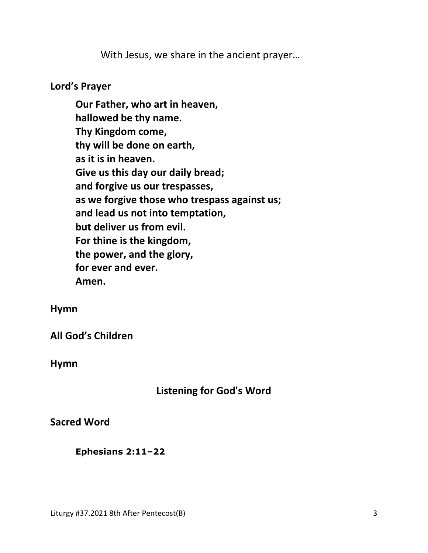With Jesus, we share in the ancient prayer…

### **Lord's Prayer**

**Our Father, who art in heaven, hallowed be thy name. Thy Kingdom come, thy will be done on earth, as it is in heaven. Give us this day our daily bread; and forgive us our trespasses, as we forgive those who trespass against us; and lead us not into temptation, but deliver us from evil. For thine is the kingdom, the power, and the glory, for ever and ever. Amen.** 

#### **Hymn**

**All God's Children**

**Hymn**

## **Listening for God's Word**

**Sacred Word** 

 **Ephesians 2:11–22**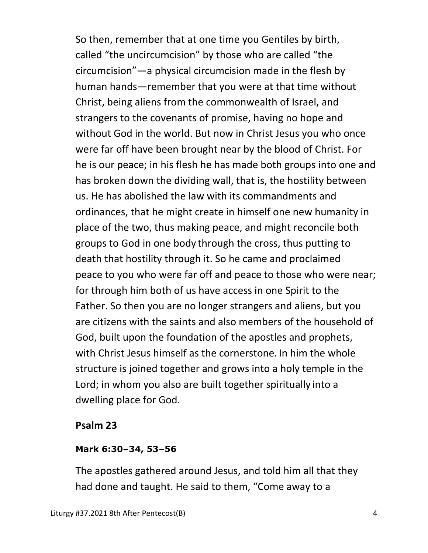So then, remember that at one time you Gentiles by birth, called "the uncircumcision" by those who are called "the circumcision"—a physical circumcision made in the flesh by human hands—remember that you were at that time without Christ, being aliens from the commonwealth of Israel, and strangers to the covenants of promise, having no hope and without God in the world. But now in Christ Jesus you who once were far off have been brought near by the blood of Christ. For he is our peace; in his flesh he has made both groups into one and has broken down the dividing wall, that is, the hostility between us. He has abolished the law with its commandments and ordinances, that he might create in himself one new humanity in place of the two, thus making peace, and might reconcile both groups to God in one body through the cross, thus putting to death that hostility through it. So he came and proclaimed peace to you who were far off and peace to those who were near; for through him both of us have access in one Spirit to the Father. So then you are no longer strangers and aliens, but you are citizens with the saints and also members of the household of God, built upon the foundation of the apostles and prophets, with Christ Jesus himself as the cornerstone. In him the whole structure is joined together and grows into a holy temple in the Lord; in whom you also are built together spiritually into a dwelling place for God.

### **Psalm 23**

### **Mark 6:30–34, 53–56**

The apostles gathered around Jesus, and told him all that they had done and taught. He said to them, "Come away to a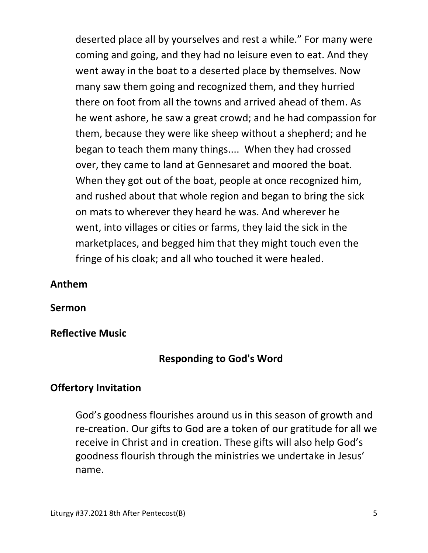deserted place all by yourselves and rest a while." For many were coming and going, and they had no leisure even to eat. And they went away in the boat to a deserted place by themselves. Now many saw them going and recognized them, and they hurried there on foot from all the towns and arrived ahead of them. As he went ashore, he saw a great crowd; and he had compassion for them, because they were like sheep without a shepherd; and he began to teach them many things.... When they had crossed over, they came to land at Gennesaret and moored the boat. When they got out of the boat, people at once recognized him, and rushed about that whole region and began to bring the sick on mats to wherever they heard he was. And wherever he went, into villages or cities or farms, they laid the sick in the marketplaces, and begged him that they might touch even the fringe of his cloak; and all who touched it were healed.

### **Anthem**

**Sermon** 

**Reflective Music** 

### **Responding to God's Word**

### **Offertory Invitation**

 God's goodness flourishes around us in this season of growth and re-creation. Our gifts to God are a token of our gratitude for all we receive in Christ and in creation. These gifts will also help God's goodness flourish through the ministries we undertake in Jesus' name.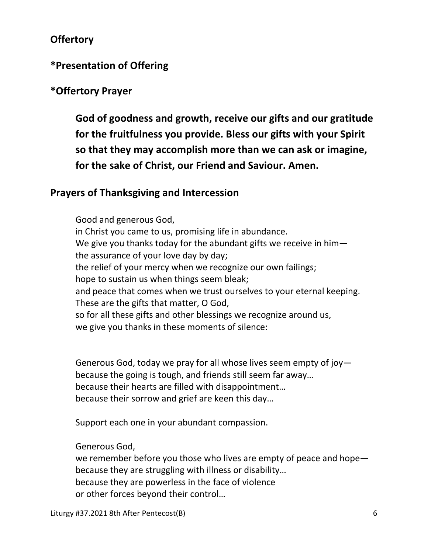## **Offertory**

### **\*Presentation of Offering**

### **\*Offertory Prayer**

**God of goodness and growth, receive our gifts and our gratitude for the fruitfulness you provide. Bless our gifts with your Spirit so that they may accomplish more than we can ask or imagine, for the sake of Christ, our Friend and Saviour. Amen.** 

#### **Prayers of Thanksgiving and Intercession**

Good and generous God, in Christ you came to us, promising life in abundance. We give you thanks today for the abundant gifts we receive in him the assurance of your love day by day; the relief of your mercy when we recognize our own failings; hope to sustain us when things seem bleak; and peace that comes when we trust ourselves to your eternal keeping. These are the gifts that matter, O God, so for all these gifts and other blessings we recognize around us, we give you thanks in these moments of silence:

 Generous God, today we pray for all whose lives seem empty of joy because the going is tough, and friends still seem far away… because their hearts are filled with disappointment… because their sorrow and grief are keen this day…

Support each one in your abundant compassion.

Generous God,

 we remember before you those who lives are empty of peace and hope because they are struggling with illness or disability… because they are powerless in the face of violence or other forces beyond their control…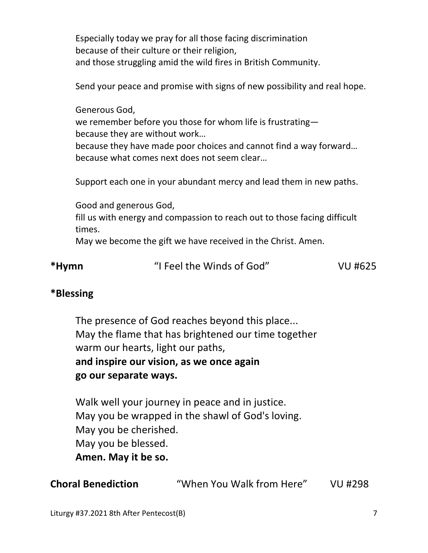Especially today we pray for all those facing discrimination because of their culture or their religion, and those struggling amid the wild fires in British Community.

Send your peace and promise with signs of new possibility and real hope.

 Generous God, we remember before you those for whom life is frustrating because they are without work… because they have made poor choices and cannot find a way forward… because what comes next does not seem clear…

Support each one in your abundant mercy and lead them in new paths.

Good and generous God,

fill us with energy and compassion to reach out to those facing difficult times.

May we become the gift we have received in the Christ. Amen.

### **\*Blessing**

 The presence of God reaches beyond this place... May the flame that has brightened our time together warm our hearts, light our paths, **and inspire our vision, as we once again go our separate ways.** 

 Walk well your journey in peace and in justice. May you be wrapped in the shawl of God's loving. May you be cherished. May you be blessed. **Amen. May it be so.** 

**Choral Benediction** "When You Walk from Here" VU #298